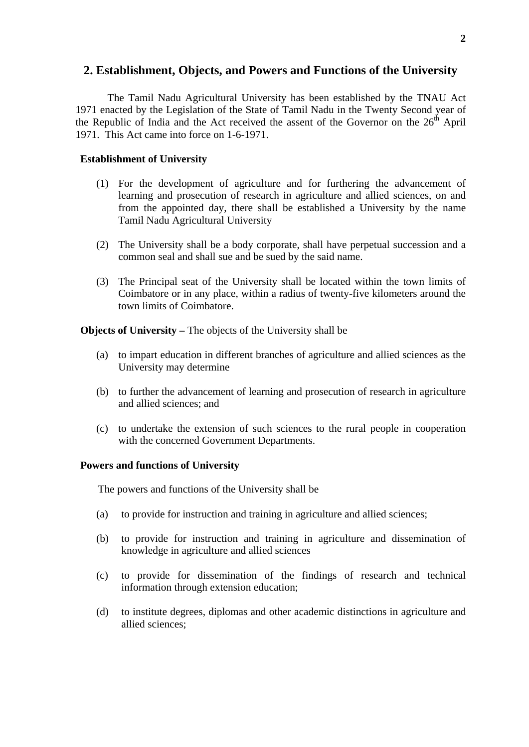## **2. Establishment, Objects, and Powers and Functions of the University**

The Tamil Nadu Agricultural University has been established by the TNAU Act 1971 enacted by the Legislation of the State of Tamil Nadu in the Twenty Second year of the Republic of India and the Act received the assent of the Governor on the  $26<sup>th</sup>$  April 1971. This Act came into force on 1-6-1971.

## **Establishment of University**

- (1) For the development of agriculture and for furthering the advancement of learning and prosecution of research in agriculture and allied sciences, on and from the appointed day, there shall be established a University by the name Tamil Nadu Agricultural University
- (2) The University shall be a body corporate, shall have perpetual succession and a common seal and shall sue and be sued by the said name.
- (3) The Principal seat of the University shall be located within the town limits of Coimbatore or in any place, within a radius of twenty-five kilometers around the town limits of Coimbatore.

**Objects of University – The objects of the University shall be** 

- (a) to impart education in different branches of agriculture and allied sciences as the University may determine
- (b) to further the advancement of learning and prosecution of research in agriculture and allied sciences; and
- (c) to undertake the extension of such sciences to the rural people in cooperation with the concerned Government Departments.

## **Powers and functions of University**

The powers and functions of the University shall be

- (a) to provide for instruction and training in agriculture and allied sciences;
- (b) to provide for instruction and training in agriculture and dissemination of knowledge in agriculture and allied sciences
- (c) to provide for dissemination of the findings of research and technical information through extension education;
- (d) to institute degrees, diplomas and other academic distinctions in agriculture and allied sciences;